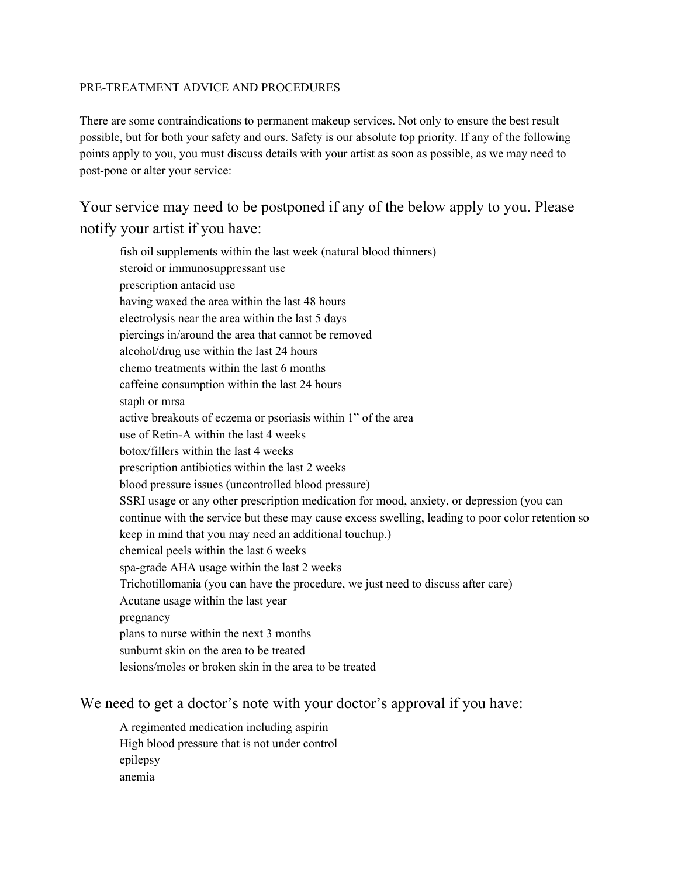#### PRE-TREATMENT ADVICE AND PROCEDURES

There are some contraindications to permanent makeup services. Not only to ensure the best result possible, but for both your safety and ours. Safety is our absolute top priority. If any of the following points apply to you, you must discuss details with your artist as soon as possible, as we may need to post-pone or alter your service:

Your service may need to be postponed if any of the below apply to you. Please notify your artist if you have:

fish oil supplements within the last week (natural blood thinners) steroid or immunosuppressant use prescription antacid use having waxed the area within the last 48 hours electrolysis near the area within the last 5 days piercings in/around the area that cannot be removed alcohol/drug use within the last 24 hours chemo treatments within the last 6 months caffeine consumption within the last 24 hours staph or mrsa active breakouts of eczema or psoriasis within 1" of the area use of Retin-A within the last 4 weeks botox/fillers within the last 4 weeks prescription antibiotics within the last 2 weeks blood pressure issues (uncontrolled blood pressure) SSRI usage or any other prescription medication for mood, anxiety, or depression (you can continue with the service but these may cause excess swelling, leading to poor color retention so keep in mind that you may need an additional touchup.) chemical peels within the last 6 weeks spa-grade AHA usage within the last 2 weeks Trichotillomania (you can have the procedure, we just need to discuss after care) Acutane usage within the last year pregnancy plans to nurse within the next 3 months sunburnt skin on the area to be treated lesions/moles or broken skin in the area to be treated

## We need to get a doctor's note with your doctor's approval if you have:

A regimented medication including aspirin High blood pressure that is not under control epilepsy anemia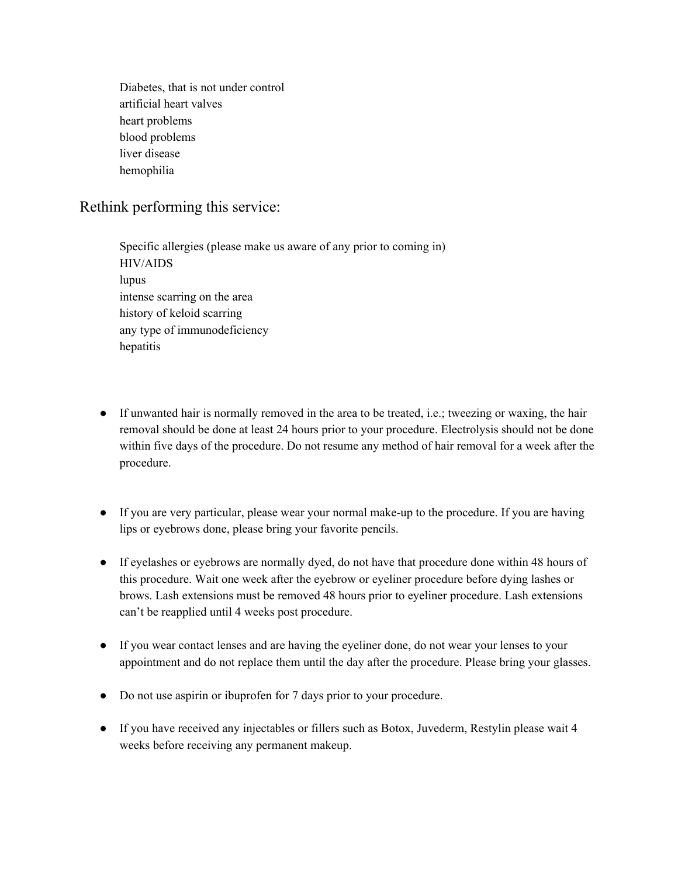Diabetes, that is not under control artificial heart valves heart problems blood problems liver disease hemophilia

## Rethink performing this service:

Specific allergies (please make us aware of any prior to coming in) HIV/AIDS lupus intense scarring on the area history of keloid scarring any type of immunodeficiency hepatitis

- If unwanted hair is normally removed in the area to be treated, i.e.; tweezing or waxing, the hair removal should be done at least 24 hours prior to your procedure. Electrolysis should not be done within five days of the procedure. Do not resume any method of hair removal for a week after the procedure.
- If you are very particular, please wear your normal make-up to the procedure. If you are having lips or eyebrows done, please bring your favorite pencils.
- If eyelashes or eyebrows are normally dyed, do not have that procedure done within 48 hours of this procedure. Wait one week after the eyebrow or eyeliner procedure before dying lashes or brows. Lash extensions must be removed 48 hours prior to eyeliner procedure. Lash extensions can't be reapplied until 4 weeks post procedure.
- If you wear contact lenses and are having the eyeliner done, do not wear your lenses to your appointment and do not replace them until the day after the procedure. Please bring your glasses.
- Do not use aspirin or ibuprofen for 7 days prior to your procedure.
- If you have received any injectables or fillers such as Botox, Juvederm, Restylin please wait 4 weeks before receiving any permanent makeup.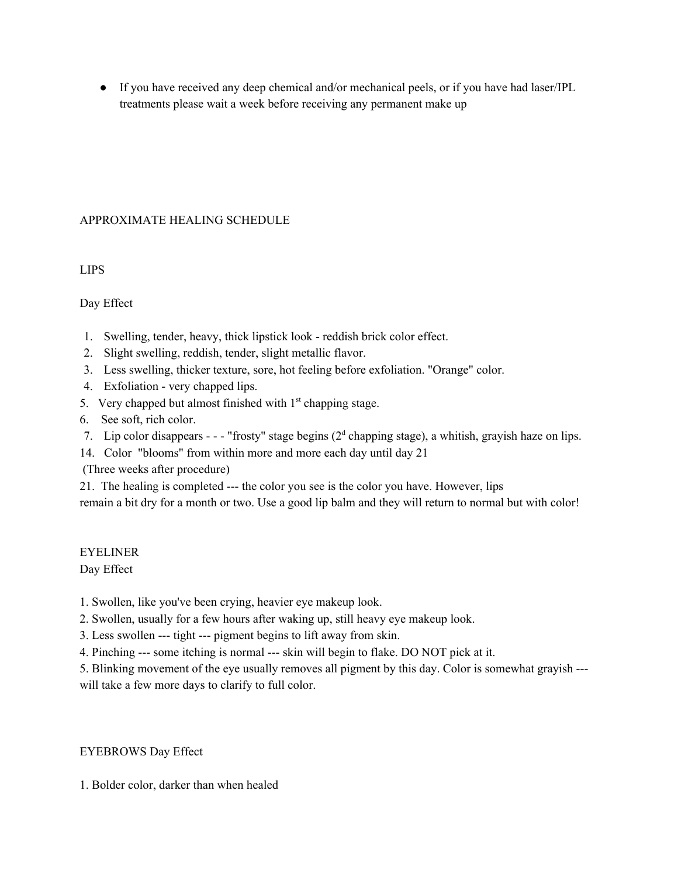● If you have received any deep chemical and/or mechanical peels, or if you have had laser/IPL treatments please wait a week before receiving any permanent make up

#### APPROXIMATE HEALING SCHEDULE

LIPS

#### Day Effect

- 1. Swelling, tender, heavy, thick lipstick look reddish brick color effect.
- 2. Slight swelling, reddish, tender, slight metallic flavor.
- 3. Less swelling, thicker texture, sore, hot feeling before exfoliation. "Orange" color.
- 4. Exfoliation very chapped lips.
- 5. Very chapped but almost finished with  $1<sup>st</sup>$  chapping stage.
- 6. See soft, rich color.
- 7. Lip color disappears - "frosty" stage begins  $(2<sup>d</sup>$  chapping stage), a whitish, grayish haze on lips.
- 14. Color "blooms" from within more and more each day until day 21

(Three weeks after procedure)

21. The healing is completed --- the color you see is the color you have. However, lips

remain a bit dry for a month or two. Use a good lip balm and they will return to normal but with color!

## EYELINER

Day Effect

1. Swollen, like you've been crying, heavier eye makeup look.

2. Swollen, usually for a few hours after waking up, still heavy eye makeup look.

3. Less swollen --- tight --- pigment begins to lift away from skin.

4. Pinching --- some itching is normal --- skin will begin to flake. DO NOT pick at it.

5. Blinking movement of the eye usually removes all pigment by this day. Color is somewhat grayish -- will take a few more days to clarify to full color.

#### EYEBROWS Day Effect

1. Bolder color, darker than when healed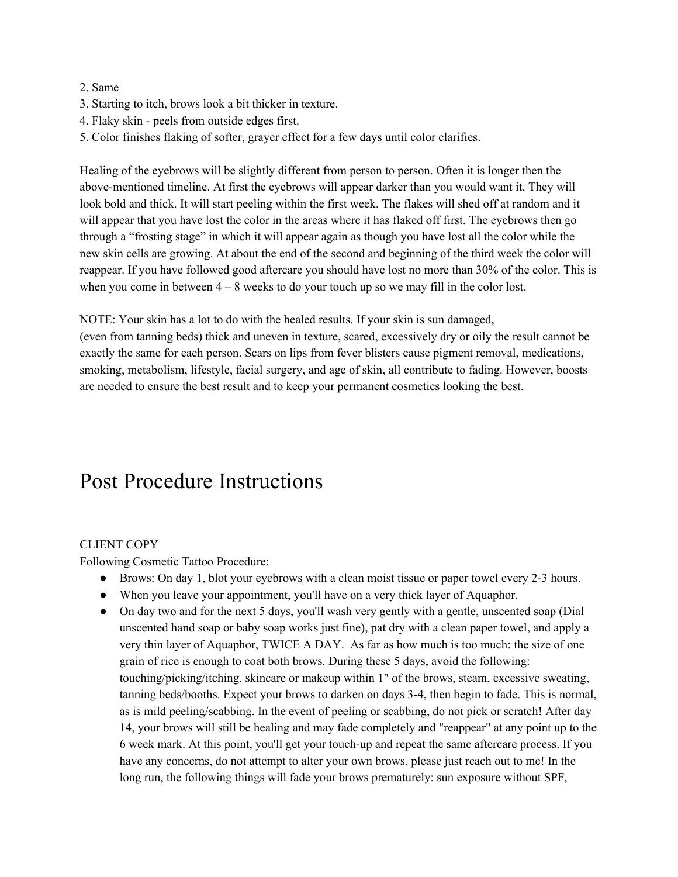#### 2. Same

- 3. Starting to itch, brows look a bit thicker in texture.
- 4. Flaky skin peels from outside edges first.
- 5. Color finishes flaking of softer, grayer effect for a few days until color clarifies.

Healing of the eyebrows will be slightly different from person to person. Often it is longer then the above-mentioned timeline. At first the eyebrows will appear darker than you would want it. They will look bold and thick. It will start peeling within the first week. The flakes will shed off at random and it will appear that you have lost the color in the areas where it has flaked off first. The eyebrows then go through a "frosting stage" in which it will appear again as though you have lost all the color while the new skin cells are growing. At about the end of the second and beginning of the third week the color will reappear. If you have followed good aftercare you should have lost no more than 30% of the color. This is when you come in between  $4 - 8$  weeks to do your touch up so we may fill in the color lost.

NOTE: Your skin has a lot to do with the healed results. If your skin is sun damaged,

(even from tanning beds) thick and uneven in texture, scared, excessively dry or oily the result cannot be exactly the same for each person. Scars on lips from fever blisters cause pigment removal, medications, smoking, metabolism, lifestyle, facial surgery, and age of skin, all contribute to fading. However, boosts are needed to ensure the best result and to keep your permanent cosmetics looking the best.

# Post Procedure Instructions

## CLIENT COPY

Following Cosmetic Tattoo Procedure:

- Brows: On day 1, blot your eyebrows with a clean moist tissue or paper towel every 2-3 hours.
- When you leave your appointment, you'll have on a very thick layer of Aquaphor.
- On day two and for the next 5 days, you'll wash very gently with a gentle, unscented soap (Dial unscented hand soap or baby soap works just fine), pat dry with a clean paper towel, and apply a very thin layer of Aquaphor, TWICE A DAY. As far as how much is too much: the size of one grain of rice is enough to coat both brows. During these 5 days, avoid the following: touching/picking/itching, skincare or makeup within 1" of the brows, steam, excessive sweating, tanning beds/booths. Expect your brows to darken on days 3-4, then begin to fade. This is normal, as is mild peeling/scabbing. In the event of peeling or scabbing, do not pick or scratch! After day 14, your brows will still be healing and may fade completely and "reappear" at any point up to the 6 week mark. At this point, you'll get your touch-up and repeat the same aftercare process. If you have any concerns, do not attempt to alter your own brows, please just reach out to me! In the long run, the following things will fade your brows prematurely: sun exposure without SPF,